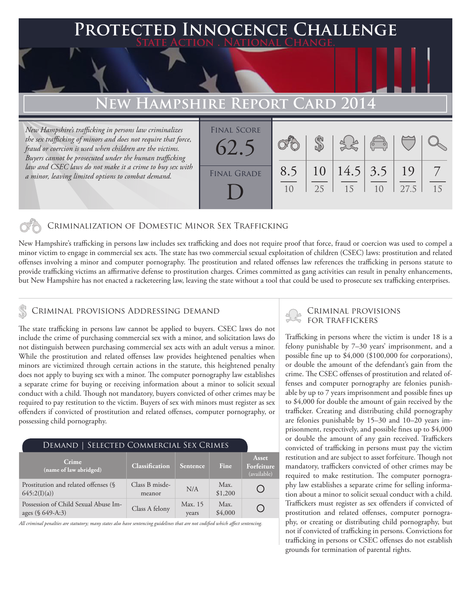### **FED INNOCENCE CHALLENGE State Action . National Change. New Hampshire Report Card 2014** *New Hampshire's trafficking in persons law criminalizes the sex trafficking of minors and does not require that force, fraud or coercion is used when children are the victims. Buyers cannot be prosecuted under the human trafficking law and CSEC laws do not make it a crime to buy sex with*  8.5 \$ 10 14.5 3.5 19 7 Final Score FINAL GRADE 62.5

10

25

### Criminalization of Domestic Minor Sex Trafficking

New Hampshire's trafficking in persons law includes sex trafficking and does not require proof that force, fraud or coercion was used to compel a minor victim to engage in commercial sex acts. The state has two commercial sexual exploitation of children (CSEC) laws: prostitution and related offenses involving a minor and computer pornography. The prostitution and related offenses law references the trafficking in persons statute to provide trafficking victims an affirmative defense to prostitution charges. Crimes committed as gang activities can result in penalty enhancements, but New Hampshire has not enacted a racketeering law, leaving the state without a tool that could be used to prosecute sex trafficking enterprises.

D

*a minor, leaving limited options to combat demand.* 

The state trafficking in persons law cannot be applied to buyers. CSEC laws do not include the crime of purchasing commercial sex with a minor, and solicitation laws do not distinguish between purchasing commercial sex acts with an adult versus a minor. While the prostitution and related offenses law provides heightened penalties when minors are victimized through certain actions in the statute, this heightened penalty does not apply to buying sex with a minor. The computer pornography law establishes a separate crime for buying or receiving information about a minor to solicit sexual conduct with a child. Though not mandatory, buyers convicted of other crimes may be required to pay restitution to the victim. Buyers of sex with minors must register as sex offenders if convicted of prostitution and related offenses, computer pornography, or possessing child pornography.

### Demand | Selected Commercial Sex Crimes

| Crime<br>(name of law abridged)                          | <b>Classification</b>    | <i><b>Sentence</b></i> | <b>Fine</b>     | Asset<br>Forfeiture<br>(available) |
|----------------------------------------------------------|--------------------------|------------------------|-----------------|------------------------------------|
| Prostitution and related offenses (§<br>645:2(I)(a))     | Class B misde-<br>meanor | N/A                    | Max.<br>\$1,200 |                                    |
| Possession of Child Sexual Abuse Im-<br>ages (§ 649-A:3) | Class A felony           | Max. 15<br>vears       | Max.<br>\$4,000 |                                    |

*All criminal penalties are statutory; many states also have sentencing guidelines that are not codified which affect sentencing.* 

# CRIMINAL PROVISIONS ADDRESSING DEMAND CRIMINAL PROVISIONS

15

10

27.5

15

Trafficking in persons where the victim is under 18 is a felony punishable by 7–30 years' imprisonment, and a possible fine up to \$4,000 (\$100,000 for corporations), or double the amount of the defendant's gain from the crime. The CSEC offenses of prostitution and related offenses and computer pornography are felonies punishable by up to 7 years imprisonment and possible fines up to \$4,000 for double the amount of gain received by the trafficker. Creating and distributing child pornography are felonies punishable by 15–30 and 10–20 years imprisonment, respectively, and possible fines up to \$4,000 or double the amount of any gain received. Traffickers convicted of trafficking in persons must pay the victim restitution and are subject to asset forfeiture. Though not mandatory, traffickers convicted of other crimes may be required to make restitution. The computer pornography law establishes a separate crime for selling information about a minor to solicit sexual conduct with a child. Traffickers must register as sex offenders if convicted of prostitution and related offenses, computer pornography, or creating or distributing child pornography, but not if convicted of trafficking in persons. Convictions for trafficking in persons or CSEC offenses do not establish grounds for termination of parental rights.